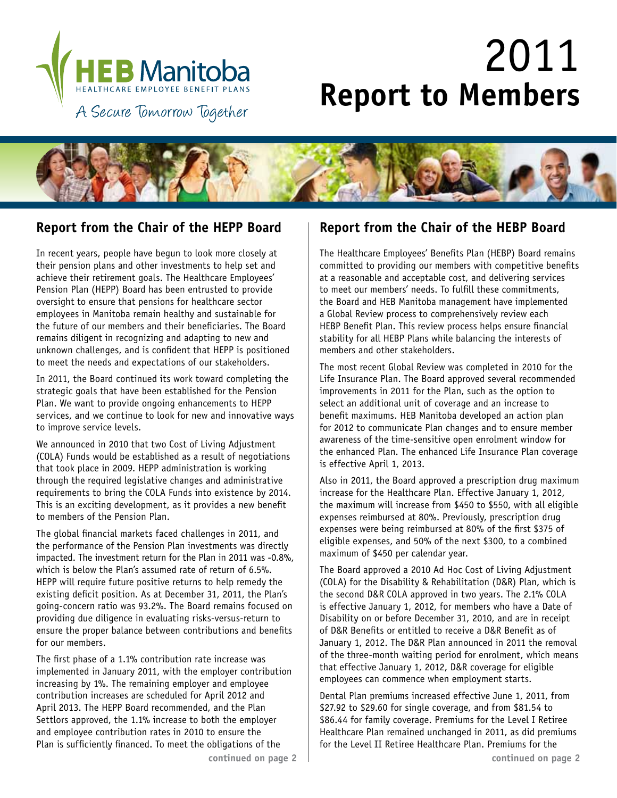

# 2011 **Report to Members**

In recent years, people have begun to look more closely at their pension plans and other investments to help set and achieve their retirement goals. The Healthcare Employees' Pension Plan (HEPP) Board has been entrusted to provide oversight to ensure that pensions for healthcare sector employees in Manitoba remain healthy and sustainable for the future of our members and their beneficiaries. The Board remains diligent in recognizing and adapting to new and unknown challenges, and is confident that HEPP is positioned to meet the needs and expectations of our stakeholders.

In 2011, the Board continued its work toward completing the strategic goals that have been established for the Pension Plan. We want to provide ongoing enhancements to HEPP services, and we continue to look for new and innovative ways to improve service levels.

We announced in 2010 that two Cost of Living Adjustment (COLA) Funds would be established as a result of negotiations that took place in 2009. HEPP administration is working through the required legislative changes and administrative requirements to bring the COLA Funds into existence by 2014. This is an exciting development, as it provides a new benefit to members of the Pension Plan.

The global financial markets faced challenges in 2011, and the performance of the Pension Plan investments was directly impacted. The investment return for the Plan in 2011 was -0.8%, which is below the Plan's assumed rate of return of 6.5%. HEPP will require future positive returns to help remedy the existing deficit position. As at December 31, 2011, the Plan's going-concern ratio was 93.2%. The Board remains focused on providing due diligence in evaluating risks-versus-return to ensure the proper balance between contributions and benefits for our members.

The first phase of a 1.1% contribution rate increase was implemented in January 2011, with the employer contribution increasing by 1%. The remaining employer and employee contribution increases are scheduled for April 2012 and April 2013. The HEPP Board recommended, and the Plan Settlors approved, the 1.1% increase to both the employer and employee contribution rates in 2010 to ensure the Plan is sufficiently financed. To meet the obligations of the

### **Report from the Chair of the HEPP Board Report from the Chair of the HEBP Board**

The Healthcare Employees' Benefits Plan (HEBP) Board remains committed to providing our members with competitive benefits at a reasonable and acceptable cost, and delivering services to meet our members' needs. To fulfill these commitments, the Board and HEB Manitoba management have implemented a Global Review process to comprehensively review each HEBP Benefit Plan. This review process helps ensure financial stability for all HEBP Plans while balancing the interests of members and other stakeholders.

The most recent Global Review was completed in 2010 for the Life Insurance Plan. The Board approved several recommended improvements in 2011 for the Plan, such as the option to select an additional unit of coverage and an increase to benefit maximums. HEB Manitoba developed an action plan for 2012 to communicate Plan changes and to ensure member awareness of the time-sensitive open enrolment window for the enhanced Plan. The enhanced Life Insurance Plan coverage is effective April 1, 2013.

Also in 2011, the Board approved a prescription drug maximum increase for the Healthcare Plan. Effective January 1, 2012, the maximum will increase from \$450 to \$550, with all eligible expenses reimbursed at 80%. Previously, prescription drug expenses were being reimbursed at 80% of the first \$375 of eligible expenses, and 50% of the next \$300, to a combined maximum of \$450 per calendar year.

The Board approved a 2010 Ad Hoc Cost of Living Adjustment (COLA) for the Disability & Rehabilitation (D&R) Plan, which is the second D&R COLA approved in two years. The 2.1% COLA is effective January 1, 2012, for members who have a Date of Disability on or before December 31, 2010, and are in receipt of D&R Benefits or entitled to receive a D&R Benefit as of January 1, 2012. The D&R Plan announced in 2011 the removal of the three-month waiting period for enrolment, which means that effective January 1, 2012, D&R coverage for eligible employees can commence when employment starts.

Dental Plan premiums increased effective June 1, 2011, from \$27.92 to \$29.60 for single coverage, and from \$81.54 to \$86.44 for family coverage. Premiums for the Level I Retiree Healthcare Plan remained unchanged in 2011, as did premiums for the Level II Retiree Healthcare Plan. Premiums for the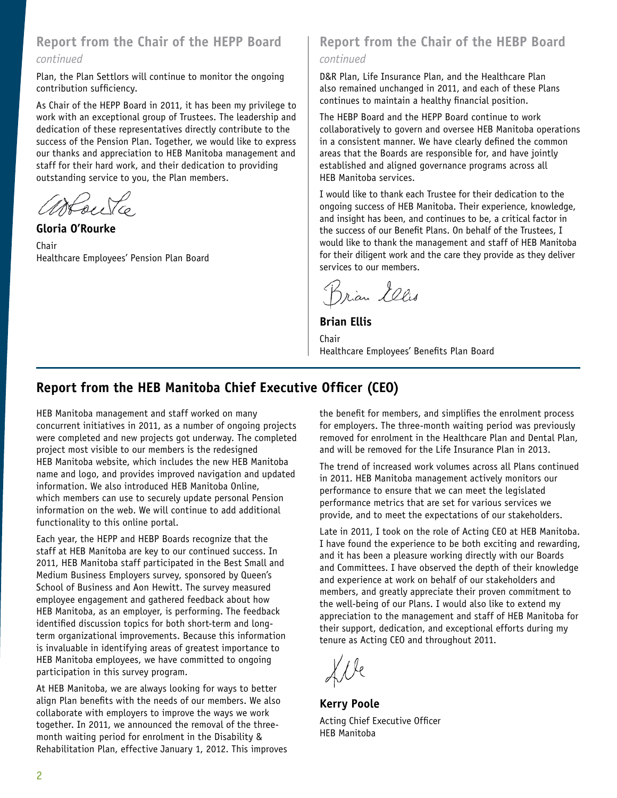# **Report from the Chair of the HEPP Board**

### *continued*

Plan, the Plan Settlors will continue to monitor the ongoing contribution sufficiency.

As Chair of the HEPP Board in 2011, it has been my privilege to work with an exceptional group of Trustees. The leadership and dedication of these representatives directly contribute to the success of the Pension Plan. Together, we would like to express our thanks and appreciation to HEB Manitoba management and staff for their hard work, and their dedication to providing outstanding service to you, the Plan members.

Houte

**Gloria O'Rourke** Chair Healthcare Employees' Pension Plan Board

### **Report from the Chair of the HEBP Board** *continued*

D&R Plan, Life Insurance Plan, and the Healthcare Plan also remained unchanged in 2011, and each of these Plans continues to maintain a healthy financial position.

The HEBP Board and the HEPP Board continue to work collaboratively to govern and oversee HEB Manitoba operations in a consistent manner. We have clearly defined the common areas that the Boards are responsible for, and have jointly established and aligned governance programs across all HEB Manitoba services.

I would like to thank each Trustee for their dedication to the ongoing success of HEB Manitoba. Their experience, knowledge, and insight has been, and continues to be, a critical factor in the success of our Benefit Plans. On behalf of the Trustees, I would like to thank the management and staff of HEB Manitoba for their diligent work and the care they provide as they deliver services to our members.

Brian Ellis

**Brian Ellis** Chair Healthcare Employees' Benefits Plan Board

## **Report from the HEB Manitoba Chief Executive Officer (CEO)**

HEB Manitoba management and staff worked on many concurrent initiatives in 2011, as a number of ongoing projects were completed and new projects got underway. The completed project most visible to our members is the redesigned HEB Manitoba website, which includes the new HEB Manitoba name and logo, and provides improved navigation and updated information. We also introduced HEB Manitoba Online, which members can use to securely update personal Pension information on the web. We will continue to add additional functionality to this online portal.

Each year, the HEPP and HEBP Boards recognize that the staff at HEB Manitoba are key to our continued success. In 2011, HEB Manitoba staff participated in the Best Small and Medium Business Employers survey, sponsored by Queen's School of Business and Aon Hewitt. The survey measured employee engagement and gathered feedback about how HEB Manitoba, as an employer, is performing. The feedback identified discussion topics for both short-term and longterm organizational improvements. Because this information is invaluable in identifying areas of greatest importance to HEB Manitoba employees, we have committed to ongoing participation in this survey program.

At HEB Manitoba, we are always looking for ways to better align Plan benefits with the needs of our members. We also collaborate with employers to improve the ways we work together. In 2011, we announced the removal of the threemonth waiting period for enrolment in the Disability & Rehabilitation Plan, effective January 1, 2012. This improves

the benefit for members, and simplifies the enrolment process for employers. The three-month waiting period was previously removed for enrolment in the Healthcare Plan and Dental Plan, and will be removed for the Life Insurance Plan in 2013.

The trend of increased work volumes across all Plans continued in 2011. HEB Manitoba management actively monitors our performance to ensure that we can meet the legislated performance metrics that are set for various services we provide, and to meet the expectations of our stakeholders.

Late in 2011, I took on the role of Acting CEO at HEB Manitoba. I have found the experience to be both exciting and rewarding, and it has been a pleasure working directly with our Boards and Committees. I have observed the depth of their knowledge and experience at work on behalf of our stakeholders and members, and greatly appreciate their proven commitment to the well-being of our Plans. I would also like to extend my appreciation to the management and staff of HEB Manitoba for their support, dedication, and exceptional efforts during my tenure as Acting CEO and throughout 2011.

**Kerry Poole** Acting Chief Executive Officer HEB Manitoba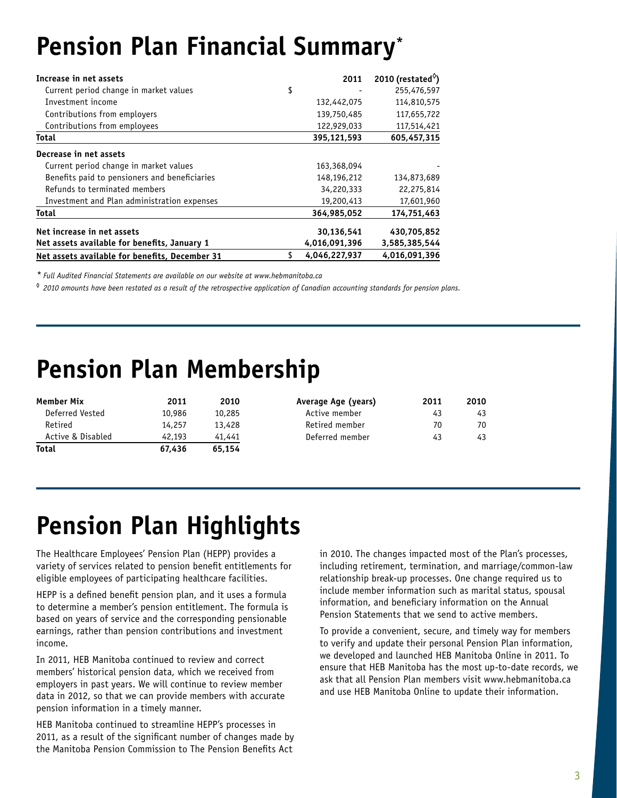# **Pension Plan Financial Summary\***

| Increase in net assets                         | 2011          | 2010 (restated $\textcirc$ ) |
|------------------------------------------------|---------------|------------------------------|
| Current period change in market values         | \$            | 255,476,597                  |
| Investment income                              | 132,442,075   | 114,810,575                  |
| Contributions from employers                   | 139,750,485   | 117,655,722                  |
| Contributions from employees                   | 122,929,033   | 117,514,421                  |
| Total                                          | 395,121,593   | 605,457,315                  |
| Decrease in net assets                         |               |                              |
| Current period change in market values         | 163,368,094   |                              |
| Benefits paid to pensioners and beneficiaries  | 148,196,212   | 134,873,689                  |
| Refunds to terminated members                  | 34,220,333    | 22,275,814                   |
| Investment and Plan administration expenses    | 19,200,413    | 17,601,960                   |
| Total                                          | 364,985,052   | 174,751,463                  |
| Net increase in net assets                     | 30,136,541    | 430,705,852                  |
| Net assets available for benefits, January 1   | 4,016,091,396 | 3,585,385,544                |
| Net assets available for benefits, December 31 | 4.046.227.937 | 4,016,091,396                |

*\* Full Audited Financial Statements are available on our website at www.hebmanitoba.ca*

**◊** *2010 amounts have been restated as a result of the retrospective application of Canadian accounting standards for pension plans.*

# **Pension Plan Membership**

| Member Mix        | 2011   | 2010   | Average Age (years) | 2011 | 2010 |
|-------------------|--------|--------|---------------------|------|------|
| Deferred Vested   | 10,986 | 10,285 | Active member       | 43   | 43   |
| Retired           | 14,257 | 13,428 | Retired member      | 70   | 70   |
| Active & Disabled | 42,193 | 41,441 | Deferred member     | 43   | 43   |
| Total             | 67.436 | 65,154 |                     |      |      |

# **Pension Plan Highlights**

The Healthcare Employees' Pension Plan (HEPP) provides a variety of services related to pension benefit entitlements for eligible employees of participating healthcare facilities.

HEPP is a defined benefit pension plan, and it uses a formula to determine a member's pension entitlement. The formula is based on years of service and the corresponding pensionable earnings, rather than pension contributions and investment income.

In 2011, HEB Manitoba continued to review and correct members' historical pension data, which we received from employers in past years. We will continue to review member data in 2012, so that we can provide members with accurate pension information in a timely manner.

HEB Manitoba continued to streamline HEPP's processes in 2011, as a result of the significant number of changes made by the Manitoba Pension Commission to The Pension Benefits Act

in 2010. The changes impacted most of the Plan's processes, including retirement, termination, and marriage/common-law relationship break-up processes. One change required us to include member information such as marital status, spousal information, and beneficiary information on the Annual Pension Statements that we send to active members.

To provide a convenient, secure, and timely way for members to verify and update their personal Pension Plan information, we developed and launched HEB Manitoba Online in 2011. To ensure that HEB Manitoba has the most up-to-date records, we ask that all Pension Plan members visit www.hebmanitoba.ca and use HEB Manitoba Online to update their information.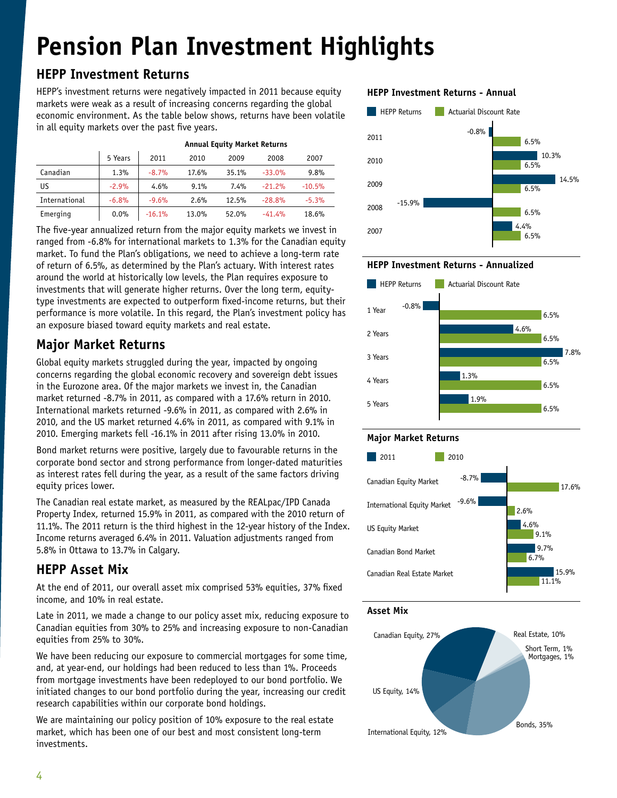# **Pension Plan Investment Highlights**

# **HEPP Investment Returns**

HEPP's investment returns were negatively impacted in 2011 because equity markets were weak as a result of increasing concerns regarding the global economic environment. As the table below shows, returns have been volatile in all equity markets over the past five years.

|               |         | <b>Annual Equity Market Returns</b> |       |       |          |          |
|---------------|---------|-------------------------------------|-------|-------|----------|----------|
|               | 5 Years | 2011                                | 2010  | 2009  | 2008     | 2007     |
| Canadian      | 1.3%    | $-8.7%$                             | 17.6% | 35.1% | $-33.0%$ | 9.8%     |
| US            | $-2.9%$ | 4.6%                                | 9.1%  | 7.4%  | $-21.2%$ | $-10.5%$ |
| International | $-6.8%$ | $-9.6%$                             | 2.6%  | 12.5% | $-28.8%$ | $-5.3%$  |
| Emerging      | 0.0%    | $-16.1%$                            | 13.0% | 52.0% | $-41.4%$ | 18.6%    |

The five-year annualized return from the major equity markets we invest in ranged from -6.8% for international markets to 1.3% for the Canadian equity market. To fund the Plan's obligations, we need to achieve a long-term rate of return of 6.5%, as determined by the Plan's actuary. With interest rates around the world at historically low levels, the Plan requires exposure to investments that will generate higher returns. Over the long term, equitytype investments are expected to outperform fixed-income returns, but their performance is more volatile. In this regard, the Plan's investment policy has an exposure biased toward equity markets and real estate.

## **Major Market Returns**

Global equity markets struggled during the year, impacted by ongoing concerns regarding the global economic recovery and sovereign debt issues in the Eurozone area. Of the major markets we invest in, the Canadian market returned -8.7% in 2011, as compared with a 17.6% return in 2010. International markets returned -9.6% in 2011, as compared with 2.6% in 2010, and the US market returned 4.6% in 2011, as compared with 9.1% in 2010. Emerging markets fell -16.1% in 2011 after rising 13.0% in 2010.

Bond market returns were positive, largely due to favourable returns in the corporate bond sector and strong performance from longer-dated maturities as interest rates fell during the year, as a result of the same factors driving equity prices lower.

The Canadian real estate market, as measured by the REALpac/IPD Canada Property Index, returned 15.9% in 2011, as compared with the 2010 return of 11.1%. The 2011 return is the third highest in the 12-year history of the Index. Income returns averaged 6.4% in 2011. Valuation adjustments ranged from 5.8% in Ottawa to 13.7% in Calgary.

## **HEPP Asset Mix**

At the end of 2011, our overall asset mix comprised 53% equities, 37% fixed income, and 10% in real estate.

Late in 2011, we made a change to our policy asset mix, reducing exposure to Canadian equities from 30% to 25% and increasing exposure to non-Canadian equities from 25% to 30%.

We have been reducing our exposure to commercial mortgages for some time, and, at year-end, our holdings had been reduced to less than 1%. Proceeds from mortgage investments have been redeployed to our bond portfolio. We initiated changes to our bond portfolio during the year, increasing our credit research capabilities within our corporate bond holdings.

We are maintaining our policy position of 10% exposure to the real estate market, which has been one of our best and most consistent long-term investments.

### **HEPP Investment Returns - Annual**



### **HEPP Investment Returns - Annualized**



### **Major Market Returns**



### **Asset Mix**

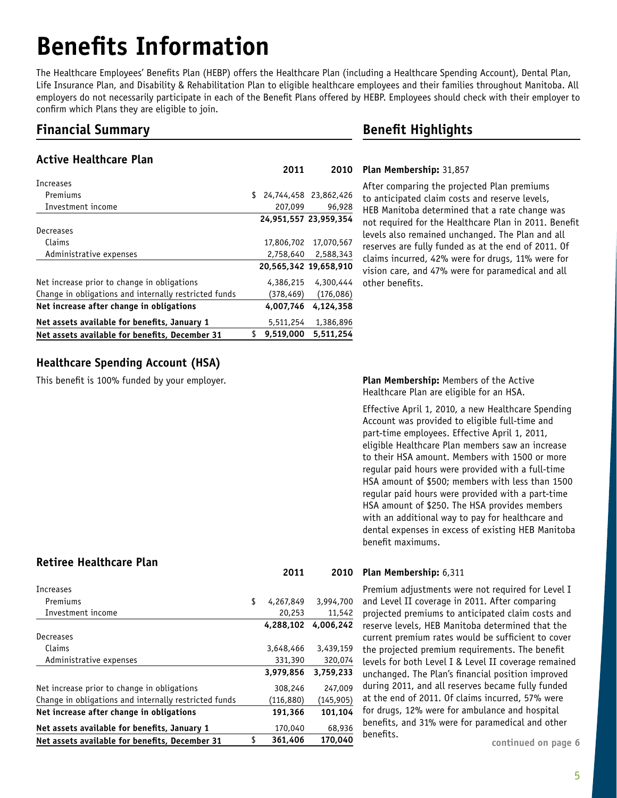# **Benefits Information**

The Healthcare Employees' Benefits Plan (HEBP) offers the Healthcare Plan (including a Healthcare Spending Account), Dental Plan, Life Insurance Plan, and Disability & Rehabilitation Plan to eligible healthcare employees and their families throughout Manitoba. All employers do not necessarily participate in each of the Benefit Plans offered by HEBP. Employees should check with their employer to confirm which Plans they are eligible to join.

### **Financial Summary**

### **Active Healthcare Plan**

|                                                       |     | LV11       | LVIV                  |
|-------------------------------------------------------|-----|------------|-----------------------|
| Increases                                             |     |            |                       |
| Premiums                                              | \$. |            | 24,744,458 23,862,426 |
| Investment income                                     |     | 207,099    | 96,928                |
|                                                       |     |            | 24,951,557 23,959,354 |
| Decreases                                             |     |            |                       |
| Claims                                                |     | 17,806,702 | 17,070,567            |
| Administrative expenses                               |     |            | 2.758.640 2.588.343   |
|                                                       |     |            | 20,565,342 19,658,910 |
| Net increase prior to change in obligations           |     | 4,386,215  | 4,300,444             |
| Change in obligations and internally restricted funds |     | (378,469)  | (176,086)             |
| Net increase after change in obligations              |     | 4,007,746  | 4,124,358             |
| Net assets available for benefits, January 1          |     | 5,511,254  | 1,386,896             |
| Net assets available for benefits, December 31        |     | 9,519,000  | 5.511.254             |

### **Benefit Highlights**

### **Plan Membership:** 31,857 **2011 2010**

After comparing the projected Plan premiums to anticipated claim costs and reserve levels, HEB Manitoba determined that a rate change was not required for the Healthcare Plan in 2011. Benefit levels also remained unchanged. The Plan and all reserves are fully funded as at the end of 2011. Of claims incurred, 42% were for drugs, 11% were for vision care, and 47% were for paramedical and all other benefits.

### **Healthcare Spending Account (HSA)**

This benefit is 100% funded by your employer.

### **Retiree Healthcare Plan**

| 170,040         | 68,936    |
|-----------------|-----------|
|                 |           |
| 191,366         | 101,104   |
| (116, 880)      | (145,905) |
| 308,246         | 247,009   |
| 3,979,856       | 3,759,233 |
| 331,390         | 320,074   |
| 3,648,466       | 3,439,159 |
|                 |           |
| 4.288.102       | 4.006.242 |
| 20,253          | 11,542    |
| \$<br>4,267,849 | 3,994,700 |
|                 |           |
|                 |           |

**Plan Membership:** Members of the Active Healthcare Plan are eligible for an HSA.

Effective April 1, 2010, a new Healthcare Spending Account was provided to eligible full-time and part-time employees. Effective April 1, 2011, eligible Healthcare Plan members saw an increase to their HSA amount. Members with 1500 or more regular paid hours were provided with a full-time HSA amount of \$500; members with less than 1500 regular paid hours were provided with a part-time HSA amount of \$250. The HSA provides members with an additional way to pay for healthcare and dental expenses in excess of existing HEB Manitoba benefit maximums.

### **Plan Membership:** 6,311 **2011 2010**

Premium adjustments were not required for Level I and Level II coverage in 2011. After comparing projected premiums to anticipated claim costs and reserve levels, HEB Manitoba determined that the current premium rates would be sufficient to cover the projected premium requirements. The benefit levels for both Level I & Level II coverage remained unchanged. The Plan's financial position improved during 2011, and all reserves became fully funded at the end of 2011. Of claims incurred, 57% were for drugs, 12% were for ambulance and hospital benefits, and 31% were for paramedical and other benefits.

continued on page 6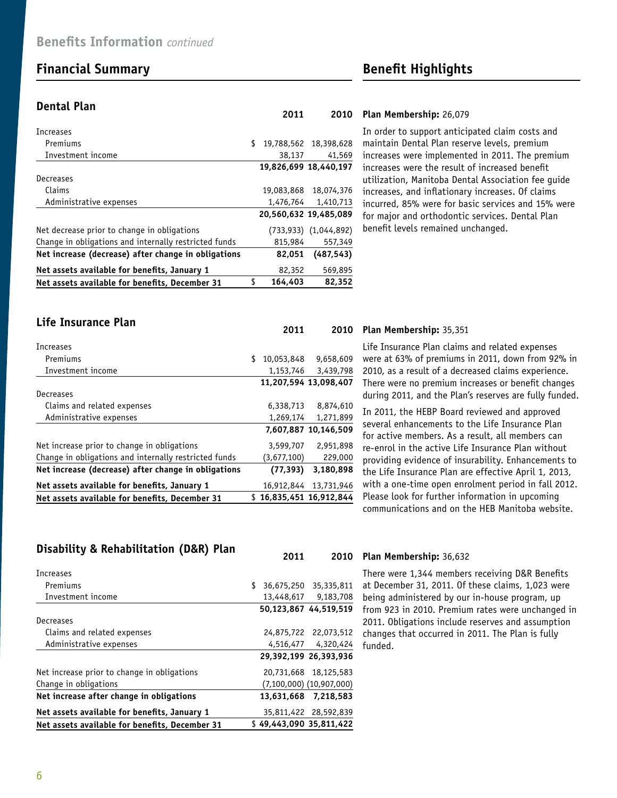### **Financial Summary Benefit Highlights**

### **Dental Plan**

| Increases                                             |    |            |                           |
|-------------------------------------------------------|----|------------|---------------------------|
| Premiums                                              | S. |            | 19.788.562 18.398.628     |
| Investment income                                     |    | 38,137     | 41,569                    |
|                                                       |    |            | 19,826,699 18,440,197     |
| Decreases                                             |    |            |                           |
| Claims                                                |    | 19,083,868 | 18,074,376                |
| Administrative expenses                               |    | 1,476,764  | 1,410,713                 |
|                                                       |    |            | 20.560.632 19.485.089     |
| Net decrease prior to change in obligations           |    |            | $(733,933)$ $(1,044,892)$ |
| Change in obligations and internally restricted funds |    | 815,984    | 557,349                   |
| Net increase (decrease) after change in obligations   |    | 82,051     | (487, 543)                |
| Net assets available for benefits, January 1          |    | 82,352     | 569,895                   |
| Net assets available for benefits, December 31        |    | 164,403    | 82,352                    |

### **Plan Membership:** 26,079 **2011 2010**

In order to support anticipated claim costs and maintain Dental Plan reserve levels, premium increases were implemented in 2011. The premium increases were the result of increased benefit utilization, Manitoba Dental Association fee guide increases, and inflationary increases. Of claims incurred, 85% were for basic services and 15% were for major and orthodontic services. Dental Plan benefit levels remained unchanged.

| Life Insurance Plan |  |
|---------------------|--|
|---------------------|--|

| Increases                                             |     |             |                         |
|-------------------------------------------------------|-----|-------------|-------------------------|
| Premiums                                              | \$. | 10,053,848  | 9,658,609               |
| Investment income                                     |     | 1,153,746   | 3,439,798               |
|                                                       |     |             | 11,207,594 13,098,407   |
| Decreases                                             |     |             |                         |
| Claims and related expenses                           |     | 6,338,713   | 8,874,610               |
| Administrative expenses                               |     | 1,269,174   | 1,271,899               |
|                                                       |     |             | 7,607,887 10,146,509    |
| Net increase prior to change in obligations           |     | 3,599,707   | 2,951,898               |
| Change in obligations and internally restricted funds |     | (3,677,100) | 229,000                 |
| Net increase (decrease) after change in obligations   |     | (77, 393)   | 3,180,898               |
| Net assets available for benefits, January 1          |     | 16,912,844  | 13,731,946              |
| Net assets available for benefits, December 31        |     |             | \$16,835,451 16,912,844 |

### **Plan Membership:** 35,351 **2011 2010**

Life Insurance Plan claims and related expenses were at 63% of premiums in 2011, down from 92% in 2010, as a result of a decreased claims experience. There were no premium increases or benefit changes during 2011, and the Plan's reserves are fully funded.

In 2011, the HEBP Board reviewed and approved several enhancements to the Life Insurance Plan for active members. As a result, all members can re-enrol in the active Life Insurance Plan without providing evidence of insurability. Enhancements to the Life Insurance Plan are effective April 1, 2013, with a one-time open enrolment period in fall 2012. Please look for further information in upcoming communications and on the HEB Manitoba website.

### **Disability & Rehabilitation (D&R) Plan**

| Increases                                      |    |                              |
|------------------------------------------------|----|------------------------------|
| Premiums                                       | S. | 36,675,250 35,335,811        |
| Investment income                              |    | 13,448,617 9,183,708         |
|                                                |    | 50.123.867 44.519.519        |
| Decreases                                      |    |                              |
| Claims and related expenses                    |    | 24,875,722 22,073,512        |
| Administrative expenses                        |    | 4,516,477 4,320,424          |
|                                                |    | 29,392,199 26,393,936        |
| Net increase prior to change in obligations    |    | 20,731,668 18,125,583        |
| Change in obligations                          |    | $(7,100,000)$ $(10,907,000)$ |
| Net increase after change in obligations       |    | 13,631,668 7,218,583         |
| Net assets available for benefits, January 1   |    | 35,811,422 28,592,839        |
| Net assets available for benefits, December 31 |    | \$49,443,090 35,811,422      |

### **Plan Membership:** 36,632 **2011 2010**

There were 1,344 members receiving D&R Benefits at December 31, 2011. Of these claims, 1,023 were being administered by our in-house program, up from 923 in 2010. Premium rates were unchanged in 2011. Obligations include reserves and assumption changes that occurred in 2011. The Plan is fully funded.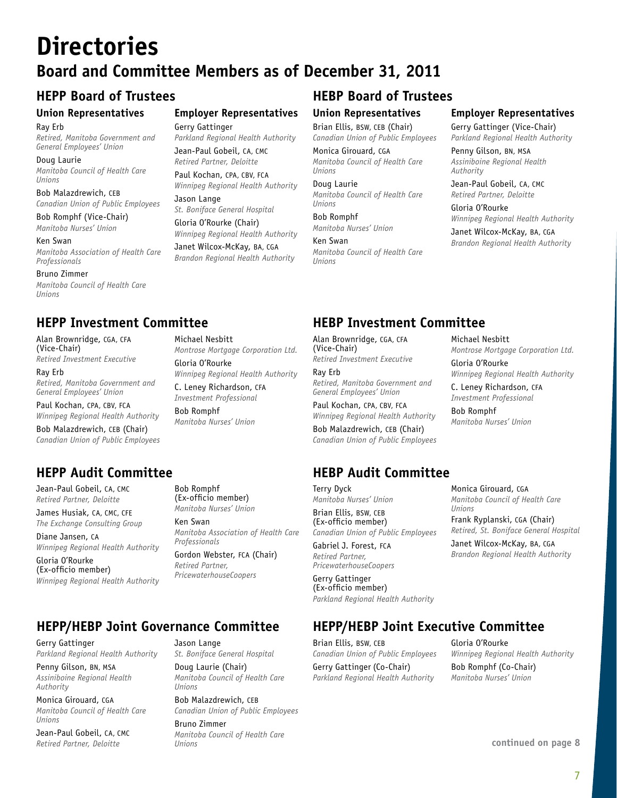# **Directories Board and Committee Members as of December 31, 2011**

### **Union Representatives**

Ray Erb *Retired, Manitoba Government and General Employees' Union*

Doug Laurie *Manitoba Council of Health Care Unions*

Bob Malazdrewich, CEB *Canadian Union of Public Employees*

Bob Romphf (Vice-Chair) *Manitoba Nurses' Union*

Ken Swan *Manitoba Association of Health Care Professionals*

Bruno Zimmer *Manitoba Council of Health Care Unions*

# **Employer Representatives**

Gerry Gattinger *Parkland Regional Health Authority*

Jean-Paul Gobeil, CA, CMC *Retired Partner, Deloitte*

Paul Kochan, CPA, CBV, FCA *Winnipeg Regional Health Authority* Jason Lange

*St. Boniface General Hospital* Gloria O'Rourke (Chair)

*Winnipeg Regional Health Authority* Janet Wilcox-McKay, BA, CGA

*Brandon Regional Health Authority*

# **HEPP Board of Trustees HEBP Board of Trustees**

### **Union Representatives**

Brian Ellis, BSW, CEB (Chair) *Canadian Union of Public Employees*

Monica Girouard, CGA *Manitoba Council of Health Care Unions*

Doug Laurie *Manitoba Council of Health Care Unions*

Bob Romphf *Manitoba Nurses' Union*

Ken Swan *Manitoba Council of Health Care Unions*

### **Employer Representatives**

Gerry Gattinger (Vice-Chair) *Parkland Regional Health Authority*

Penny Gilson, BN, MSA *Assiniboine Regional Health Authority*

Jean-Paul Gobeil, CA, CMC *Retired Partner, Deloitte*

Michael Nesbitt

Gloria O'Rourke

Bob Romphf *Manitoba Nurses' Union*

*Unions*

Gloria O'Rourke *Winnipeg Regional Health Authority*

Janet Wilcox-McKay, BA, CGA *Brandon Regional Health Authority*

*Montrose Mortgage Corporation Ltd.*

*Winnipeg Regional Health Authority* 

C. Leney Richardson, CFA *Investment Professional*

Monica Girouard, CGA *Manitoba Council of Health Care* 

Frank Ryplanski, CGA (Chair) *Retired, St. Boniface General Hospital* Janet Wilcox-McKay, BA, CGA *Brandon Regional Health Authority*

# **HEPP Investment Committee HEBP Investment Committee**

Alan Brownridge, CGA, CFA (Vice-Chair) *Retired Investment Executive*

Ray Erb *Retired, Manitoba Government and General Employees' Union*

Paul Kochan, CPA, CBV, FCA *Winnipeg Regional Health Authority*

Bob Malazdrewich, CEB (Chair) *Canadian Union of Public Employees*

Jean-Paul Gobeil, CA, CMC *Retired Partner, Deloitte*

James Husiak, CA, CMC, CFE *The Exchange Consulting Group*

Diane Jansen, CA *Winnipeg Regional Health Authority*

Gloria O'Rourke (Ex-officio member) *Winnipeg Regional Health Authority*

Michael Nesbitt *Montrose Mortgage Corporation Ltd.* Gloria O'Rourke *Winnipeg Regional Health Authority*  C. Leney Richardson, CFA *Investment Professional*  Bob Romphf *Manitoba Nurses' Union*

Alan Brownridge, CGA, CFA (Vice-Chair) *Retired Investment Executive*

Ray Erb *Retired, Manitoba Government and General Employees' Union*

Paul Kochan, CPA, CBV, FCA *Winnipeg Regional Health Authority*

Bob Malazdrewich, CEB (Chair) *Canadian Union of Public Employees*

## **HEPP Audit Committee HEBP Audit Committee**

Terry Dyck *Manitoba Nurses' Union*

Brian Ellis, BSW, CEB (Ex-officio member) *Canadian Union of Public Employees* 

Gabriel J. Forest, FCA *Retired Partner,* 

*PricewaterhouseCoopers* Gerry Gattinger (Ex-officio member)

*Parkland Regional Health Authority*

Brian Ellis, BSW, CEB *Canadian Union of Public Employees* Gerry Gattinger (Co-Chair) *Parkland Regional Health Authority*

Gloria O'Rourke *Winnipeg Regional Health Authority* Bob Romphf (Co-Chair) *Manitoba Nurses' Union*

**HEPP/HEBP Joint Governance Committee HEPP/HEBP Joint Executive Committee**

Gerry Gattinger *Parkland Regional Health Authority*

Penny Gilson, BN, MSA *Assiniboine Regional Health Authority*

Monica Girouard, CGA *Manitoba Council of Health Care Unions*

Jean-Paul Gobeil, CA, CMC *Retired Partner, Deloitte*

Bob Romphf (Ex-officio member) *Manitoba Nurses' Union*

Ken Swan *Manitoba Association of Health Care Professionals*

Gordon Webster, FCA (Chair) *Retired Partner, PricewaterhouseCoopers*

# Jason Lange

*St. Boniface General Hospital* Doug Laurie (Chair)

*Manitoba Council of Health Care Unions*

Bob Malazdrewich, CEB *Canadian Union of Public Employees* Bruno Zimmer

*Manitoba Council of Health Care Unions*

**continued on page 8**

7